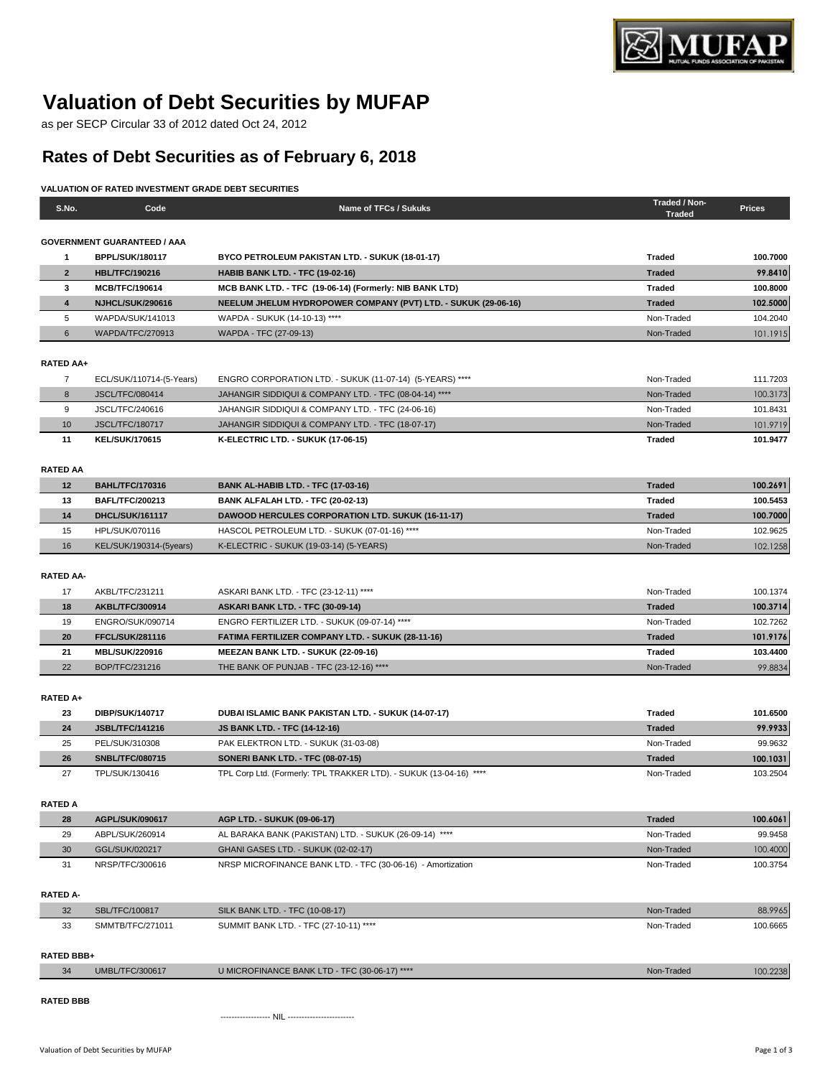

# **Valuation of Debt Securities by MUFAP**

as per SECP Circular 33 of 2012 dated Oct 24, 2012

## **Rates of Debt Securities as of February 6, 2018**

### **VALUATION OF RATED INVESTMENT GRADE DEBT SECURITIES**

| S.No.             | Code                               | Name of TFCs / Sukuks                                              | Traded / Non-<br><b>Traded</b> | <b>Prices</b> |
|-------------------|------------------------------------|--------------------------------------------------------------------|--------------------------------|---------------|
|                   | <b>GOVERNMENT GUARANTEED / AAA</b> |                                                                    |                                |               |
| 1                 | <b>BPPL/SUK/180117</b>             | BYCO PETROLEUM PAKISTAN LTD. - SUKUK (18-01-17)                    | Traded                         | 100.7000      |
| $\overline{2}$    | <b>HBL/TFC/190216</b>              | <b>HABIB BANK LTD. - TFC (19-02-16)</b>                            | <b>Traded</b>                  | 99.8410       |
| 3                 | MCB/TFC/190614                     | MCB BANK LTD. - TFC (19-06-14) (Formerly: NIB BANK LTD)            | <b>Traded</b>                  | 100.8000      |
| 4                 | NJHCL/SUK/290616                   | NEELUM JHELUM HYDROPOWER COMPANY (PVT) LTD. - SUKUK (29-06-16)     | <b>Traded</b>                  | 102.5000      |
| 5                 | WAPDA/SUK/141013                   | WAPDA - SUKUK (14-10-13) ****                                      | Non-Traded                     | 104.2040      |
| 6                 | WAPDA/TFC/270913                   | WAPDA - TFC (27-09-13)                                             | Non-Traded                     | 101.1915      |
|                   |                                    |                                                                    |                                |               |
| RATED AA+         |                                    |                                                                    |                                |               |
| 7                 | ECL/SUK/110714-(5-Years)           | ENGRO CORPORATION LTD. - SUKUK (11-07-14) (5-YEARS) ****           | Non-Traded                     | 111.7203      |
| 8                 | <b>JSCL/TFC/080414</b>             | JAHANGIR SIDDIQUI & COMPANY LTD. - TFC (08-04-14) ****             | Non-Traded                     | 100.3173      |
| 9                 | JSCL/TFC/240616                    | JAHANGIR SIDDIQUI & COMPANY LTD. - TFC (24-06-16)                  | Non-Traded                     | 101.8431      |
| 10                | <b>JSCL/TFC/180717</b>             | JAHANGIR SIDDIQUI & COMPANY LTD. - TFC (18-07-17)                  | Non-Traded                     | 101.9719      |
| 11                | <b>KEL/SUK/170615</b>              | K-ELECTRIC LTD. - SUKUK (17-06-15)                                 | Traded                         | 101.9477      |
|                   |                                    |                                                                    |                                |               |
| <b>RATED AA</b>   |                                    |                                                                    |                                |               |
| 12                | <b>BAHL/TFC/170316</b>             | <b>BANK AL-HABIB LTD. - TFC (17-03-16)</b>                         | <b>Traded</b>                  | 100.2691      |
| 13                | <b>BAFL/TFC/200213</b>             | BANK ALFALAH LTD. - TFC (20-02-13)                                 | Traded                         | 100.5453      |
| 14                | DHCL/SUK/161117                    | <b>DAWOOD HERCULES CORPORATION LTD. SUKUK (16-11-17)</b>           | <b>Traded</b>                  | 100.7000      |
| 15                | <b>HPL/SUK/070116</b>              | HASCOL PETROLEUM LTD. - SUKUK (07-01-16) ****                      | Non-Traded                     | 102.9625      |
| 16                | KEL/SUK/190314-(5years)            | K-ELECTRIC - SUKUK (19-03-14) (5-YEARS)                            | Non-Traded                     | 102.1258      |
|                   |                                    |                                                                    |                                |               |
| <b>RATED AA-</b>  |                                    |                                                                    |                                |               |
| 17                | AKBL/TFC/231211                    | ASKARI BANK LTD. - TFC (23-12-11) ****                             | Non-Traded                     | 100.1374      |
| 18                | AKBL/TFC/300914                    | ASKARI BANK LTD. - TFC (30-09-14)                                  | <b>Traded</b>                  | 100.3714      |
| 19                | ENGRO/SUK/090714                   | ENGRO FERTILIZER LTD. - SUKUK (09-07-14) ****                      | Non-Traded                     | 102.7262      |
| 20                | <b>FFCL/SUK/281116</b>             | <b>FATIMA FERTILIZER COMPANY LTD. - SUKUK (28-11-16)</b>           | <b>Traded</b>                  | 101.9176      |
| 21                | MBL/SUK/220916                     | MEEZAN BANK LTD. - SUKUK (22-09-16)                                | <b>Traded</b>                  | 103.4400      |
| 22                | BOP/TFC/231216                     | THE BANK OF PUNJAB - TFC (23-12-16) ****                           | Non-Traded                     | 99.8834       |
|                   |                                    |                                                                    |                                |               |
| RATED A+          |                                    |                                                                    |                                |               |
| 23                | DIBP/SUK/140717                    | DUBAI ISLAMIC BANK PAKISTAN LTD. - SUKUK (14-07-17)                | <b>Traded</b>                  | 101.6500      |
| 24                | <b>JSBL/TFC/141216</b>             | <b>JS BANK LTD. - TFC (14-12-16)</b>                               | <b>Traded</b>                  | 99.9933       |
| 25                | PEL/SUK/310308                     | PAK ELEKTRON LTD. - SUKUK (31-03-08)                               | Non-Traded                     | 99.9632       |
| 26                | <b>SNBL/TFC/080715</b>             | <b>SONERI BANK LTD. - TFC (08-07-15)</b>                           | <b>Traded</b>                  | 100.1031      |
| 27                | TPL/SUK/130416                     | TPL Corp Ltd. (Formerly: TPL TRAKKER LTD). - SUKUK (13-04-16) **** | Non-Traded                     | 103.2504      |
|                   |                                    |                                                                    |                                |               |
| <b>RATED A</b>    |                                    |                                                                    |                                |               |
| 28                | AGPL/SUK/090617                    | AGP LTD. - SUKUK (09-06-17)                                        | <b>Traded</b>                  | 100.6061      |
| 29                | ABPL/SUK/260914                    | AL BARAKA BANK (PAKISTAN) LTD. - SUKUK (26-09-14) ****             | Non-Traded                     | 99.9458       |
| 30                | GGL/SUK/020217                     | GHANI GASES LTD. - SUKUK (02-02-17)                                | Non-Traded                     | 100.4000      |
| 31                | NRSP/TFC/300616                    | NRSP MICROFINANCE BANK LTD. - TFC (30-06-16) - Amortization        | Non-Traded                     | 100.3754      |
|                   |                                    |                                                                    |                                |               |
| <b>RATED A-</b>   |                                    |                                                                    |                                |               |
| 32                | SBL/TFC/100817                     | SILK BANK LTD. - TFC (10-08-17)                                    | Non-Traded                     | 88.9965       |
| 33                | SMMTB/TFC/271011                   | SUMMIT BANK LTD. - TFC (27-10-11) ****                             | Non-Traded                     | 100.6665      |
|                   |                                    |                                                                    |                                |               |
| <b>RATED BBB+</b> |                                    | U MICROFINANCE BANK LTD - TFC (30-06-17) ****                      |                                |               |
| 34                | <b>UMBL/TFC/300617</b>             |                                                                    | Non-Traded                     | 100.2238      |
| <b>RATED BBB</b>  |                                    |                                                                    |                                |               |

------------------ NIL ------------------------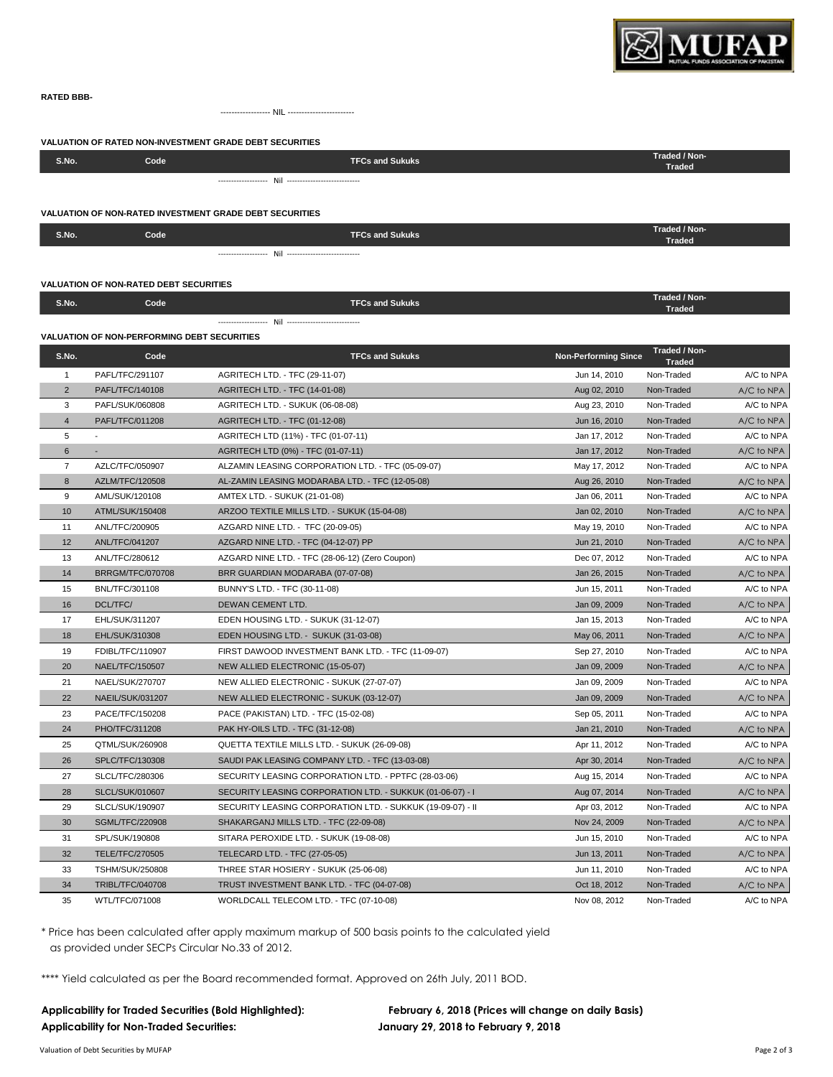

------------------ NIL ------------------------

#### **VALUATION OF RATED NON-INVESTMENT GRADE DEBT SECURITIES**

| S.No. | Code | <b>TFCs and Sukuks</b> | Traded / Non-<br>Traded |  |
|-------|------|------------------------|-------------------------|--|
|       |      |                        |                         |  |

#### **VALUATION OF NON-RATED INVESTMENT GRADE DEBT SECURITIES**

| S.No. | Code | <b>TFCs and Sukuks</b> | Traded / Non-<br><b>Traded</b> |
|-------|------|------------------------|--------------------------------|
|       |      |                        |                                |

#### **VALUATION OF NON-RATED DEBT SECURITIES**

| S.No. | <b>Code</b> | <b>TFCs and Sukuks</b> | Traded / Non-<br><b>Traded</b> |
|-------|-------------|------------------------|--------------------------------|
|       |             |                        |                                |

#### **VALUATION OF NON-PERFORMING DEBT SECURITIES**

| S.No.            | Code                    | <b>TFCs and Sukuks</b>                                     | <b>Non-Performing Since</b> | Traded / Non-<br><b>Traded</b> |            |
|------------------|-------------------------|------------------------------------------------------------|-----------------------------|--------------------------------|------------|
| 1                | PAFL/TFC/291107         | AGRITECH LTD. - TFC (29-11-07)                             | Jun 14, 2010                | Non-Traded                     | A/C to NPA |
| $\overline{2}$   | PAFL/TFC/140108         | <b>AGRITECH LTD. - TFC (14-01-08)</b>                      | Aug 02, 2010                | Non-Traded                     | A/C to NPA |
| 3                | PAFL/SUK/060808         | AGRITECH LTD. - SUKUK (06-08-08)                           | Aug 23, 2010                | Non-Traded                     | A/C to NPA |
| $\overline{4}$   | PAFL/TFC/011208         | AGRITECH LTD. - TFC (01-12-08)                             | Jun 16, 2010                | Non-Traded                     | A/C to NPA |
| 5                |                         | AGRITECH LTD (11%) - TFC (01-07-11)                        | Jan 17, 2012                | Non-Traded                     | A/C to NPA |
| 6                |                         | AGRITECH LTD (0%) - TFC (01-07-11)                         | Jan 17, 2012                | Non-Traded                     | A/C to NPA |
| $\overline{7}$   | AZLC/TFC/050907         | ALZAMIN LEASING CORPORATION LTD. - TFC (05-09-07)          | May 17, 2012                | Non-Traded                     | A/C to NPA |
| $\bf 8$          | AZLM/TFC/120508         | AL-ZAMIN LEASING MODARABA LTD. - TFC (12-05-08)            | Aug 26, 2010                | Non-Traded                     | A/C to NPA |
| $\boldsymbol{9}$ | AML/SUK/120108          | AMTEX LTD. - SUKUK (21-01-08)                              | Jan 06, 2011                | Non-Traded                     | A/C to NPA |
| 10               | ATML/SUK/150408         | ARZOO TEXTILE MILLS LTD. - SUKUK (15-04-08)                | Jan 02, 2010                | Non-Traded                     | A/C to NPA |
| 11               | ANL/TFC/200905          | AZGARD NINE LTD. - TFC (20-09-05)                          | May 19, 2010                | Non-Traded                     | A/C to NPA |
| 12               | ANL/TFC/041207          | AZGARD NINE LTD. - TFC (04-12-07) PP                       | Jun 21, 2010                | Non-Traded                     | A/C to NPA |
| 13               | ANL/TFC/280612          | AZGARD NINE LTD. - TFC (28-06-12) (Zero Coupon)            | Dec 07, 2012                | Non-Traded                     | A/C to NPA |
| 14               | BRRGM/TFC/070708        | BRR GUARDIAN MODARABA (07-07-08)                           | Jan 26, 2015                | Non-Traded                     | A/C to NPA |
| 15               | <b>BNL/TFC/301108</b>   | BUNNY'S LTD. - TFC (30-11-08)                              | Jun 15, 2011                | Non-Traded                     | A/C to NPA |
| 16               | DCL/TFC/                | DEWAN CEMENT LTD.                                          | Jan 09, 2009                | Non-Traded                     | A/C to NPA |
| 17               | EHL/SUK/311207          | EDEN HOUSING LTD. - SUKUK (31-12-07)                       | Jan 15, 2013                | Non-Traded                     | A/C to NPA |
| 18               | EHL/SUK/310308          | EDEN HOUSING LTD. - SUKUK (31-03-08)                       | May 06, 2011                | Non-Traded                     | A/C to NPA |
| 19               | FDIBL/TFC/110907        | FIRST DAWOOD INVESTMENT BANK LTD. - TFC (11-09-07)         | Sep 27, 2010                | Non-Traded                     | A/C to NPA |
| 20               | NAEL/TFC/150507         | NEW ALLIED ELECTRONIC (15-05-07)                           | Jan 09, 2009                | Non-Traded                     | A/C to NPA |
| 21               | NAEL/SUK/270707         | NEW ALLIED ELECTRONIC - SUKUK (27-07-07)                   | Jan 09, 2009                | Non-Traded                     | A/C to NPA |
| 22               | NAEIL/SUK/031207        | NEW ALLIED ELECTRONIC - SUKUK (03-12-07)                   | Jan 09, 2009                | Non-Traded                     | A/C to NPA |
| 23               | PACE/TFC/150208         | PACE (PAKISTAN) LTD. - TFC (15-02-08)                      | Sep 05, 2011                | Non-Traded                     | A/C to NPA |
| 24               | PHO/TFC/311208          | PAK HY-OILS LTD. - TFC (31-12-08)                          | Jan 21, 2010                | Non-Traded                     | A/C to NPA |
| 25               | QTML/SUK/260908         | QUETTA TEXTILE MILLS LTD. - SUKUK (26-09-08)               | Apr 11, 2012                | Non-Traded                     | A/C to NPA |
| 26               | SPLC/TFC/130308         | SAUDI PAK LEASING COMPANY LTD. - TFC (13-03-08)            | Apr 30, 2014                | Non-Traded                     | A/C to NPA |
| 27               | SLCL/TFC/280306         | SECURITY LEASING CORPORATION LTD. - PPTFC (28-03-06)       | Aug 15, 2014                | Non-Traded                     | A/C to NPA |
| 28               | <b>SLCL/SUK/010607</b>  | SECURITY LEASING CORPORATION LTD. - SUKKUK (01-06-07) - I  | Aug 07, 2014                | Non-Traded                     | A/C to NPA |
| 29               | SLCL/SUK/190907         | SECURITY LEASING CORPORATION LTD. - SUKKUK (19-09-07) - II | Apr 03, 2012                | Non-Traded                     | A/C to NPA |
| 30               | <b>SGML/TFC/220908</b>  | SHAKARGANJ MILLS LTD. - TFC (22-09-08)                     | Nov 24, 2009                | Non-Traded                     | A/C to NPA |
| 31               | SPL/SUK/190808          | SITARA PEROXIDE LTD. - SUKUK (19-08-08)                    | Jun 15, 2010                | Non-Traded                     | A/C to NPA |
| 32               | TELE/TFC/270505         | TELECARD LTD. - TFC (27-05-05)                             | Jun 13, 2011                | Non-Traded                     | A/C to NPA |
| 33               | TSHM/SUK/250808         | THREE STAR HOSIERY - SUKUK (25-06-08)                      | Jun 11, 2010                | Non-Traded                     | A/C to NPA |
| 34               | <b>TRIBL/TFC/040708</b> | TRUST INVESTMENT BANK LTD. - TFC (04-07-08)                | Oct 18, 2012                | Non-Traded                     | A/C to NPA |
| 35               | WTL/TFC/071008          | WORLDCALL TELECOM LTD. - TFC (07-10-08)                    | Nov 08, 2012                | Non-Traded                     | A/C to NPA |

\* Price has been calculated after apply maximum markup of 500 basis points to the calculated yield as provided under SECPs Circular No.33 of 2012.

\*\*\*\* Yield calculated as per the Board recommended format. Approved on 26th July, 2011 BOD.